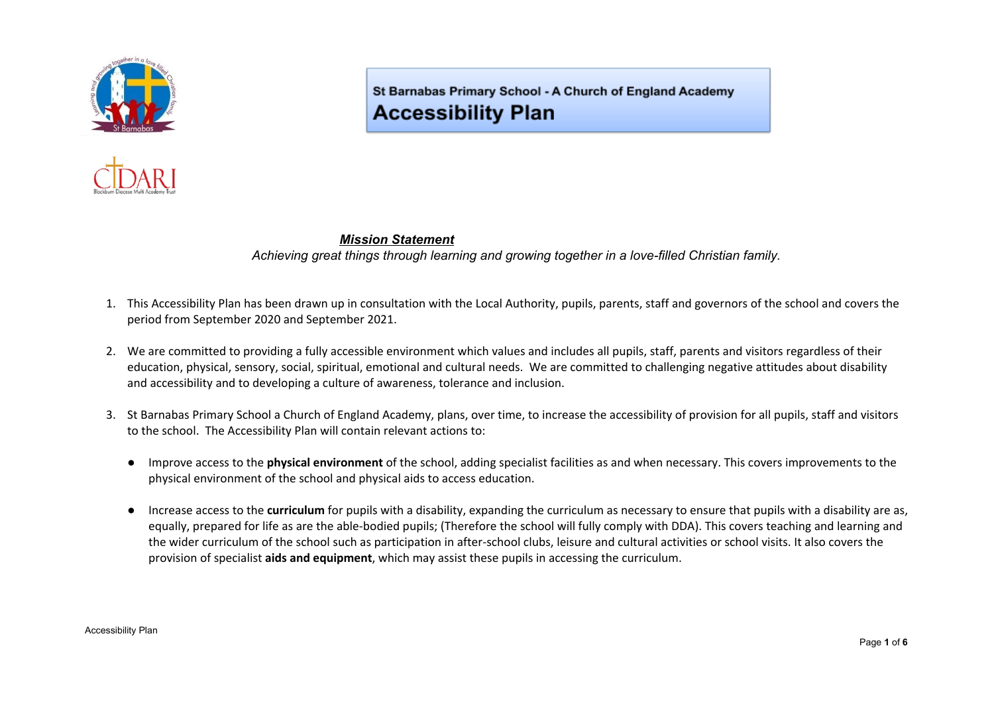



St Barnabas Primary School - A Church of England Academy **Accessibility Plan** 

## *Mission Statement*

*Achieving great things through learning and growing together in a love-filled Christian family.*

- 1. This Accessibility Plan has been drawn up in consultation with the Local Authority, pupils, parents, staff and governors of the school and covers the period from September 2020 and September 2021.
- 2. We are committed to providing a fully accessible environment which values and includes all pupils, staff, parents and visitors regardless of their education, physical, sensory, social, spiritual, emotional and cultural needs. We are committed to challenging negative attitudes about disability and accessibility and to developing a culture of awareness, tolerance and inclusion.
- 3. St Barnabas Primary School a Church of England Academy, plans, over time, to increase the accessibility of provision for all pupils, staff and visitors to the school. The Accessibility Plan will contain relevant actions to:
	- Improve access to the **physical environment** of the school, adding specialist facilities as and when necessary. This covers improvements to the physical environment of the school and physical aids to access education.
	- Increase access to the **curriculum** for pupils with a disability, expanding the curriculum as necessary to ensure that pupils with a disability are as, equally, prepared for life as are the able-bodied pupils; (Therefore the school will fully comply with DDA). This covers teaching and learning and the wider curriculum of the school such as participation in after-school clubs, leisure and cultural activities or school visits. It also covers the provision of specialist **aids and equipment**, which may assist these pupils in accessing the curriculum.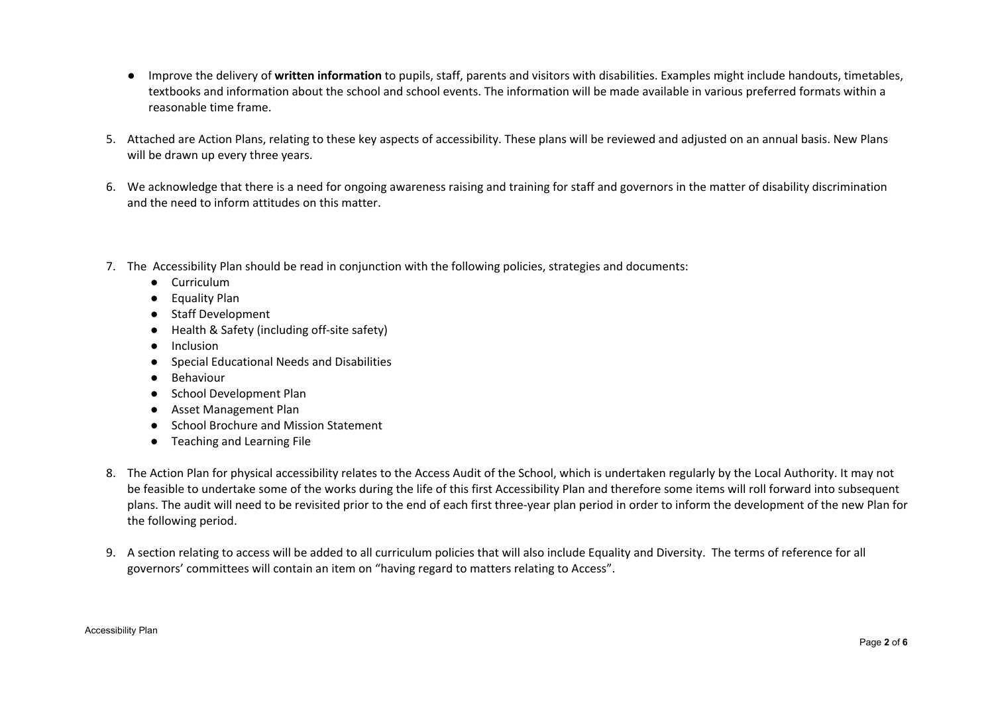- Improve the delivery of **written information** to pupils, staff, parents and visitors with disabilities. Examples might include handouts, timetables, textbooks and information about the school and school events. The information will be made available in various preferred formats within a reasonable time frame.
- 5. Attached are Action Plans, relating to these key aspects of accessibility. These plans will be reviewed and adjusted on an annual basis. New Plans will be drawn up every three years.
- 6. We acknowledge that there is a need for ongoing awareness raising and training for staff and governors in the matter of disability discrimination and the need to inform attitudes on this matter.
- 7. The Accessibility Plan should be read in conjunction with the following policies, strategies and documents:
	- Curriculum
	- Equality Plan
	- Staff Development
	- Health & Safety (including off-site safety)
	- Inclusion
	- Special Educational Needs and Disabilities
	- Behaviour
	- School Development Plan
	- Asset Management Plan
	- School Brochure and Mission Statement
	- Teaching and Learning File
- 8. The Action Plan for physical accessibility relates to the Access Audit of the School, which is undertaken regularly by the Local Authority. It may not be feasible to undertake some of the works during the life of this first Accessibility Plan and therefore some items will roll forward into subsequent plans. The audit will need to be revisited prior to the end of each first three-year plan period in order to inform the development of the new Plan for the following period.
- 9. A section relating to access will be added to all curriculum policies that will also include Equality and Diversity. The terms of reference for all governors' committees will contain an item on "having regard to matters relating to Access".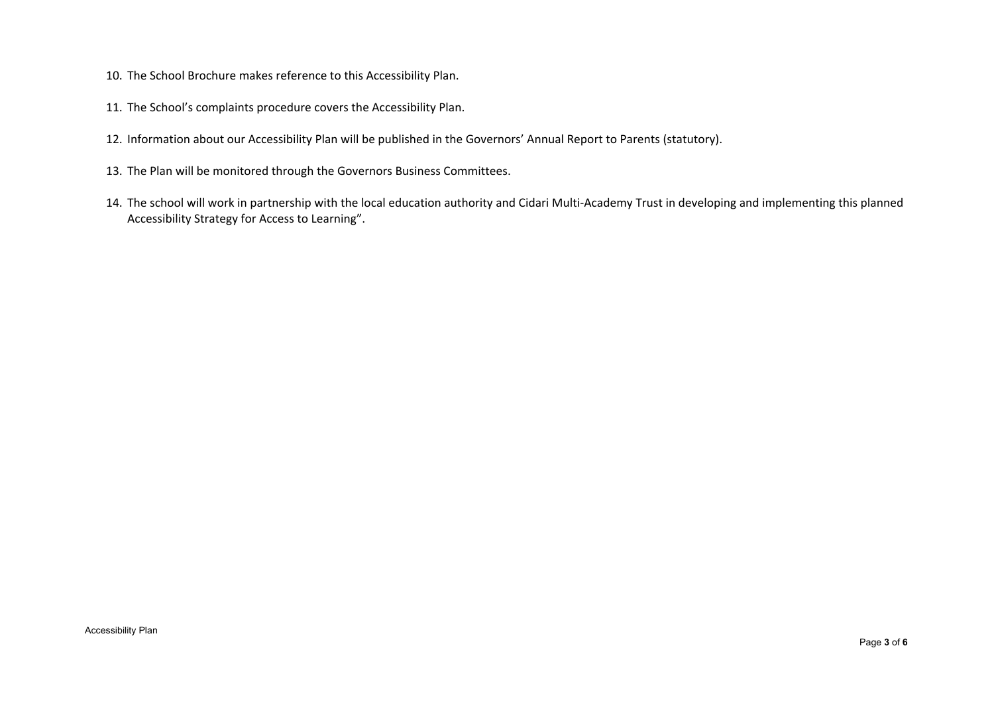- 10. The School Brochure makes reference to this Accessibility Plan.
- 11. The School's complaints procedure covers the Accessibility Plan.
- 12. Information about our Accessibility Plan will be published in the Governors' Annual Report to Parents (statutory).
- 13. The Plan will be monitored through the Governors Business Committees.
- 14. The school will work in partnership with the local education authority and Cidari Multi-Academy Trust in developing and implementing this planned Accessibility Strategy for Access to Learning".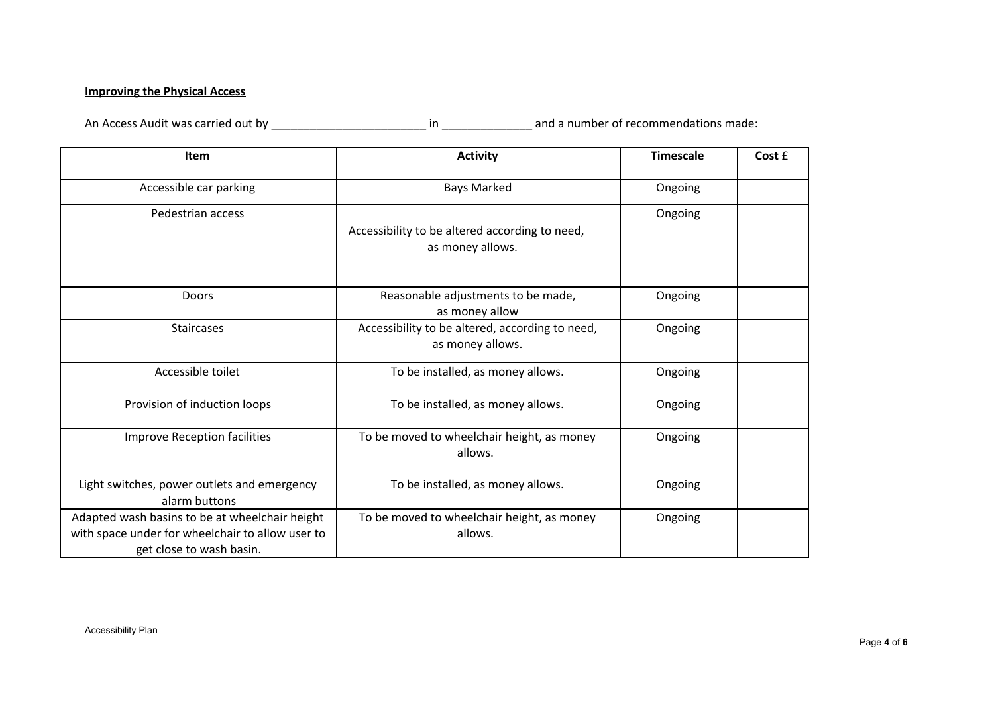## **Improving the Physical Access**

An Access Audit was carried out by \_\_\_\_\_\_\_\_\_\_\_\_\_\_\_\_\_\_\_\_\_\_\_\_ in \_\_\_\_\_\_\_\_\_\_\_\_\_\_ and a number of recommendations made:

| Item                                                                                                                           | <b>Activity</b>                                                     | <b>Timescale</b> | Cost £ |
|--------------------------------------------------------------------------------------------------------------------------------|---------------------------------------------------------------------|------------------|--------|
| Accessible car parking                                                                                                         | <b>Bays Marked</b>                                                  | Ongoing          |        |
| Pedestrian access                                                                                                              | Accessibility to be altered according to need,<br>as money allows.  | Ongoing          |        |
| Doors                                                                                                                          | Reasonable adjustments to be made,<br>as money allow                | Ongoing          |        |
| <b>Staircases</b>                                                                                                              | Accessibility to be altered, according to need,<br>as money allows. | Ongoing          |        |
| Accessible toilet                                                                                                              | To be installed, as money allows.                                   | Ongoing          |        |
| Provision of induction loops                                                                                                   | To be installed, as money allows.                                   | Ongoing          |        |
| <b>Improve Reception facilities</b>                                                                                            | To be moved to wheelchair height, as money<br>allows.               | Ongoing          |        |
| Light switches, power outlets and emergency<br>alarm buttons                                                                   | To be installed, as money allows.                                   | Ongoing          |        |
| Adapted wash basins to be at wheelchair height<br>with space under for wheelchair to allow user to<br>get close to wash basin. | To be moved to wheelchair height, as money<br>allows.               | Ongoing          |        |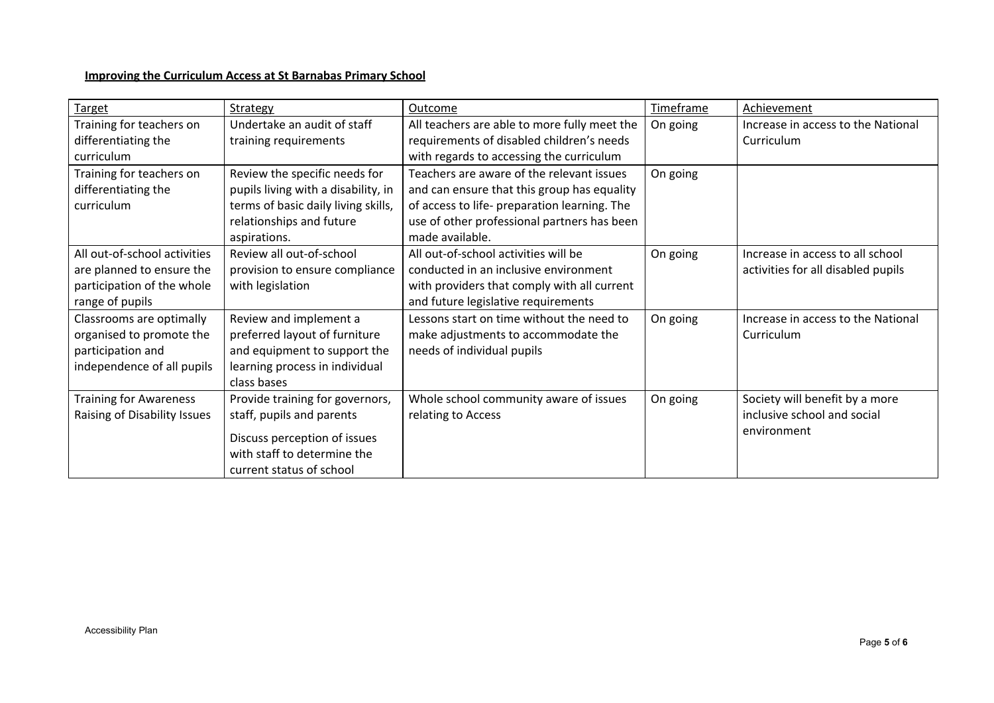## **Improving the Curriculum Access at St Barnabas Primary School**

| <b>Target</b>                 | Strategy                            | Outcome                                      | Timeframe | Achievement                        |
|-------------------------------|-------------------------------------|----------------------------------------------|-----------|------------------------------------|
| Training for teachers on      | Undertake an audit of staff         | All teachers are able to more fully meet the | On going  | Increase in access to the National |
| differentiating the           | training requirements               | requirements of disabled children's needs    |           | Curriculum                         |
| curriculum                    |                                     | with regards to accessing the curriculum     |           |                                    |
| Training for teachers on      | Review the specific needs for       | Teachers are aware of the relevant issues    | On going  |                                    |
| differentiating the           | pupils living with a disability, in | and can ensure that this group has equality  |           |                                    |
| curriculum                    | terms of basic daily living skills, | of access to life- preparation learning. The |           |                                    |
|                               | relationships and future            | use of other professional partners has been  |           |                                    |
|                               | aspirations.                        | made available.                              |           |                                    |
| All out-of-school activities  | Review all out-of-school            | All out-of-school activities will be         | On going  | Increase in access to all school   |
| are planned to ensure the     | provision to ensure compliance      | conducted in an inclusive environment        |           | activities for all disabled pupils |
| participation of the whole    | with legislation                    | with providers that comply with all current  |           |                                    |
| range of pupils               |                                     | and future legislative requirements          |           |                                    |
| Classrooms are optimally      | Review and implement a              | Lessons start on time without the need to    | On going  | Increase in access to the National |
| organised to promote the      | preferred layout of furniture       | make adjustments to accommodate the          |           | Curriculum                         |
| participation and             | and equipment to support the        | needs of individual pupils                   |           |                                    |
| independence of all pupils    | learning process in individual      |                                              |           |                                    |
|                               | class bases                         |                                              |           |                                    |
| <b>Training for Awareness</b> | Provide training for governors,     | Whole school community aware of issues       | On going  | Society will benefit by a more     |
| Raising of Disability Issues  | staff, pupils and parents           | relating to Access                           |           | inclusive school and social        |
|                               | Discuss perception of issues        |                                              |           | environment                        |
|                               | with staff to determine the         |                                              |           |                                    |
|                               | current status of school            |                                              |           |                                    |
|                               |                                     |                                              |           |                                    |